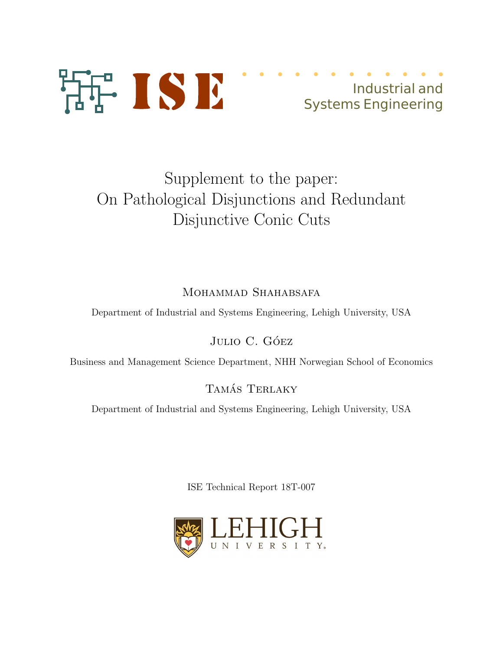

# Industrial and Systems Engineering

# Supplement to the paper: On Pathological Disjunctions and Redundant Disjunctive Conic Cuts

## MOHAMMAD SHAHABSAFA

Department of Industrial and Systems Engineering, Lehigh University, USA

### JULIO C. GÓEZ

Business and Management Science Department, NHH Norwegian School of Economics

### TAMÁS TERLAKY

Department of Industrial and Systems Engineering, Lehigh University, USA

ISE Technical Report 18T-007

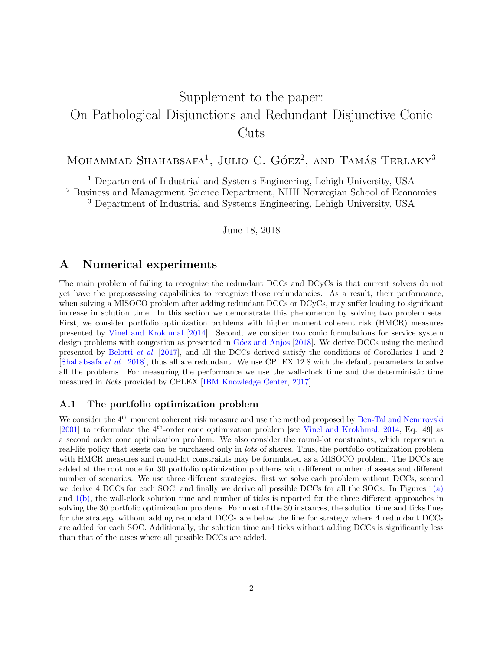# Supplement to the paper: On Pathological Disjunctions and Redundant Disjunctive Conic Cuts

## MOHAMMAD SHAHABSAFA<sup>1</sup>, JULIO C. GÓEZ<sup>2</sup>, AND TAMÁS TERLAKY<sup>3</sup>

<sup>1</sup> Department of Industrial and Systems Engineering, Lehigh University, USA <sup>2</sup> Business and Management Science Department, NHH Norwegian School of Economics <sup>3</sup> Department of Industrial and Systems Engineering, Lehigh University, USA

June 18, 2018

#### A Numerical experiments

The main problem of failing to recognize the redundant DCCs and DCyCs is that current solvers do not yet have the prepossessing capabilities to recognize those redundancies. As a result, their performance, when solving a MISOCO problem after adding redundant DCCs or DCyCs, may suffer leading to significant increase in solution time. In this section we demonstrate this phenomenon by solving two problem sets. First, we consider portfolio optimization problems with higher moment coherent risk (HMCR) measures presented by [Vinel and Krokhmal](#page-5-0) [\[2014\]](#page-5-0). Second, we consider two conic formulations for service system design problems with congestion as presented in Góez and Anjos [\[2018\]](#page-5-1). We derive DCCs using the method presented by [Belotti](#page-5-2) et al. [\[2017\]](#page-5-2), and all the DCCs derived satisfy the conditions of Corollaries 1 and 2 [\[Shahabsafa](#page-5-3) et al., [2018\]](#page-5-3), thus all are redundant. We use CPLEX 12.8 with the default parameters to solve all the problems. For measuring the performance we use the wall-clock time and the deterministic time measured in ticks provided by CPLEX [\[IBM Knowledge Center,](#page-5-4) [2017\]](#page-5-4).

#### <span id="page-1-0"></span>A.1 The portfolio optimization problem

We consider the 4<sup>th</sup> moment coherent risk measure and use the method proposed by [Ben-Tal and Nemirovski](#page-5-5) [\[2001\]](#page-5-5) to reformulate the 4th-order cone optimization problem [see [Vinel and Krokhmal,](#page-5-0) [2014,](#page-5-0) Eq. 49] as a second order cone optimization problem. We also consider the round-lot constraints, which represent a real-life policy that assets can be purchased only in lots of shares. Thus, the portfolio optimization problem with HMCR measures and round-lot constraints may be formulated as a MISOCO problem. The DCCs are added at the root node for 30 portfolio optimization problems with different number of assets and different number of scenarios. We use three different strategies: first we solve each problem without DCCs, second we derive 4 DCCs for each SOC, and finally we derive all possible DCCs for all the SOCs. In Figures [1\(a\)](#page-2-0) and [1\(b\),](#page-2-0) the wall-clock solution time and number of ticks is reported for the three different approaches in solving the 30 portfolio optimization problems. For most of the 30 instances, the solution time and ticks lines for the strategy without adding redundant DCCs are below the line for strategy where 4 redundant DCCs are added for each SOC. Additionally, the solution time and ticks without adding DCCs is significantly less than that of the cases where all possible DCCs are added.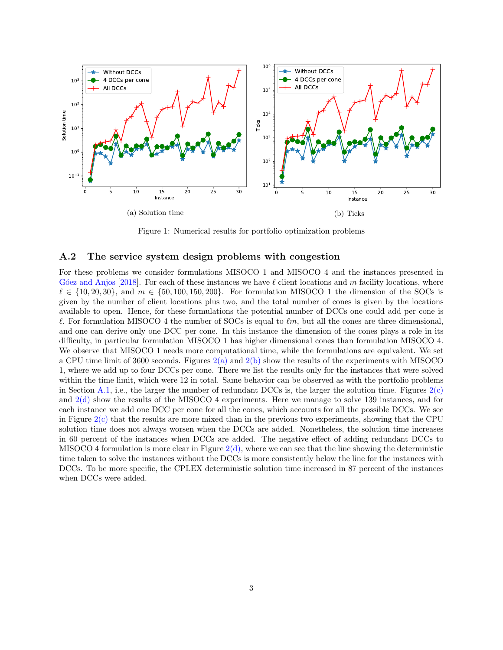<span id="page-2-0"></span>

Figure 1: Numerical results for portfolio optimization problems

#### A.2 The service system design problems with congestion

For these problems we consider formulations MISOCO 1 and MISOCO 4 and the instances presented in G'oez and Anjos [\[2018\]](#page-5-1). For each of these instances we have  $\ell$  client locations and m facility locations, where  $\ell \in \{10, 20, 30\}$ , and  $m \in \{50, 100, 150, 200\}$ . For formulation MISOCO 1 the dimension of the SOCs is given by the number of client locations plus two, and the total number of cones is given by the locations available to open. Hence, for these formulations the potential number of DCCs one could add per cone is  $\ell$ . For formulation MISOCO 4 the number of SOCs is equal to  $\ell m$ , but all the cones are three dimensional, and one can derive only one DCC per cone. In this instance the dimension of the cones plays a role in its difficulty, in particular formulation MISOCO 1 has higher dimensional cones than formulation MISOCO 4. We observe that MISOCO 1 needs more computational time, while the formulations are equivalent. We set a CPU time limit of 3600 seconds. Figures  $2(a)$  and  $2(b)$  show the results of the experiments with MISOCO 1, where we add up to four DCCs per cone. There we list the results only for the instances that were solved within the time limit, which were 12 in total. Same behavior can be observed as with the portfolio problems in Section [A.1,](#page-1-0) i.e., the larger the number of redundant DCCs is, the larger the solution time. Figures  $2(c)$ and [2\(d\)](#page-3-0) show the results of the MISOCO 4 experiments. Here we manage to solve 139 instances, and for each instance we add one DCC per cone for all the cones, which accounts for all the possible DCCs. We see in Figure [2\(c\)](#page-3-0) that the results are more mixed than in the previous two experiments, showing that the CPU solution time does not always worsen when the DCCs are added. Nonetheless, the solution time increases in 60 percent of the instances when DCCs are added. The negative effect of adding redundant DCCs to MISOCO 4 formulation is more clear in Figure  $2(d)$ , where we can see that the line showing the deterministic time taken to solve the instances without the DCCs is more consistently below the line for the instances with DCCs. To be more specific, the CPLEX deterministic solution time increased in 87 percent of the instances when DCCs were added.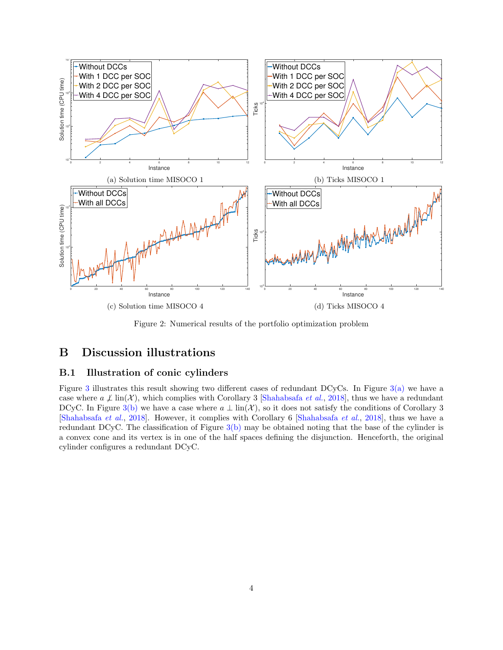<span id="page-3-0"></span>

Figure 2: Numerical results of the portfolio optimization problem

### B Discussion illustrations

#### B.1 Illustration of conic cylinders

Figure [3](#page-4-0) illustrates this result showing two different cases of redundant DCyCs. In Figure  $3(a)$  we have a case where  $a \not\perp \text{lin}(\mathcal{X})$ , which complies with Corollary 3 [\[Shahabsafa](#page-5-3) *et al.*, [2018\]](#page-5-3), thus we have a redundant DCyC. In Figure [3\(b\)](#page-4-0) we have a case where  $a \perp \text{lin}(\mathcal{X})$ , so it does not satisfy the conditions of Corollary 3 [\[Shahabsafa](#page-5-3) et al., [2018\]](#page-5-3). However, it complies with Corollary 6 [\[Shahabsafa](#page-5-3) et al., [2018\]](#page-5-3), thus we have a redundant DCyC. The classification of Figure  $3(b)$  may be obtained noting that the base of the cylinder is a convex cone and its vertex is in one of the half spaces defining the disjunction. Henceforth, the original cylinder configures a redundant DCyC.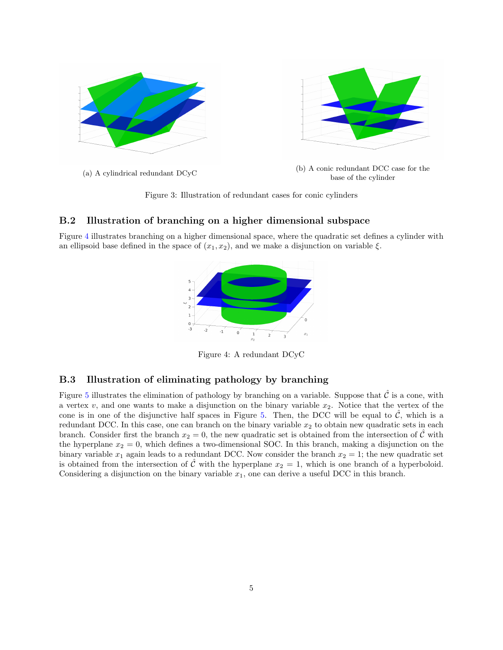<span id="page-4-0"></span>

Figure 3: Illustration of redundant cases for conic cylinders

#### B.2 Illustration of branching on a higher dimensional subspace

<span id="page-4-1"></span>Figure [4](#page-4-1) illustrates branching on a higher dimensional space, where the quadratic set defines a cylinder with an ellipsoid base defined in the space of  $(x_1, x_2)$ , and we make a disjunction on variable  $\xi$ .



Figure 4: A redundant DCyC

#### B.3 Illustration of eliminating pathology by branching

Figure [5](#page-5-6) illustrates the elimination of pathology by branching on a variable. Suppose that  $\hat{\mathcal{C}}$  is a cone, with a vertex  $v$ , and one wants to make a disjunction on the binary variable  $x_2$ . Notice that the vertex of the cone is in one of the disjunctive half spaces in Figure [5.](#page-5-6) Then, the DCC will be equal to  $\hat{\mathcal{C}}$ , which is a redundant DCC. In this case, one can branch on the binary variable  $x<sub>2</sub>$  to obtain new quadratic sets in each branch. Consider first the branch  $x_2 = 0$ , the new quadratic set is obtained from the intersection of C with the hyperplane  $x_2 = 0$ , which defines a two-dimensional SOC. In this branch, making a disjunction on the binary variable  $x_1$  again leads to a redundant DCC. Now consider the branch  $x_2 = 1$ ; the new quadratic set is obtained from the intersection of  $\hat{\mathcal{C}}$  with the hyperplane  $x_2 = 1$ , which is one branch of a hyperboloid. Considering a disjunction on the binary variable  $x_1$ , one can derive a useful DCC in this branch.